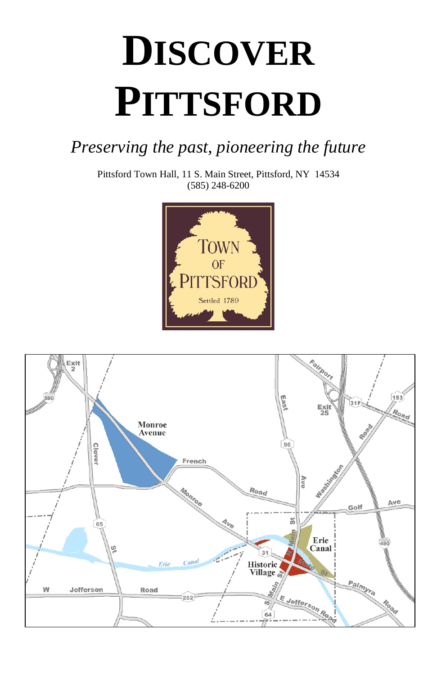# **DISCOVER PITTSFORD**

# *Preserving the past, pioneering the future*

Pittsford Town Hall, 11 S. Main Street, Pittsford, NY 14534 (585) 248-6200





Rev. 02/11/2020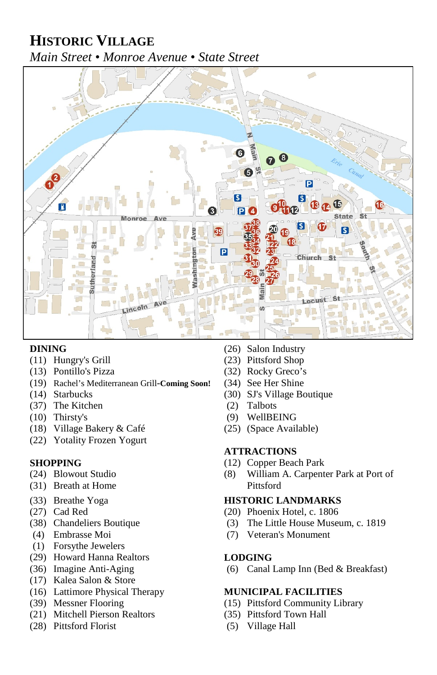# **HISTORIC VILLAGE** *Main Street • Monroe Avenue • State Street*



- $(11)$  Hungry's Grill
- (13) Pontillo's Pizza (32) Rocky Greco's
- (19) Rachel's Mediterranean Grill-**Coming Soon!** (34) See Her Shine
- 
- (37) The Kitchen (2) Talbots<br>
(3) Thirsty's (9) WellBEING
- $(10)$  Thirsty's
- (18) Village Bakery & Café (25) (Space Available)
- (22) Yotality Frozen Yogurt

- 
- (31) Breath at Home Pittsford
- 
- 
- 
- 
- (1) Forsythe Jewelers
- (29) Howard Hanna Realtors **LODGING**
- 
- (17) Kalea Salon & Store
- (16) Lattimore Physical Therapy **MUNICIPAL FACILITIES**
- 
- (21) Mitchell Pierson Realtors (35) Pittsford Town Hall
- (28) Pittsford Florist (5) Village Hall
- 
- **DINING** (26) Salon Industry<br>
(11) Hungry's Grill (23) Pittsford Shop
	-
	-
- (14) Starbucks (30) SJ's Village Boutique
	-
	-
	-

### **ATTRACTIONS**

- **SHOPPING** (12) Copper Beach Park
- (24) Blowout Studio (8) William A. Carpenter Park at Port of

### (33) Breathe Yoga **HISTORIC LANDMARKS**

- (27) Cad Red (20) Phoenix Hotel, c. 1806
- (38) Chandeliers Boutique (3) The Little House Museum, c. 1819
- (4) Embrasse Moi (7) Veteran's Monument

(36) Imagine Anti-Aging (6) Canal Lamp Inn (Bed & Breakfast)

- (39) Messner Flooring (15) Pittsford Community Library
	-
	-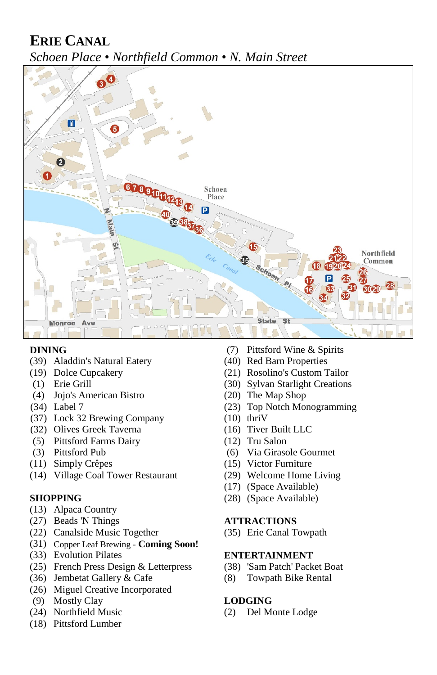# **ERIE CANAL** *Schoen Place • Northfield Common • N. Main Street*



- (39) Aladdin's Natural Eatery (40) Red Barn Properties<br>
(19) Dolce Cupcakery (21) Rosolino's Custom T
- 
- 
- (4) Jojo's American Bistro
- 
- (37) Lock 32 Brewing Company (10) thriV
- (32) Olives Greek Taverna (16) Tiver Built LLC
- (5) Pittsford Farms Dairy (12) Tru Salon
- 
- 
- (14) Village Coal Tower Restaurant (29) Welcome Home Living

- (13) Alpaca Country
- (27) Beads 'N Things **ATTRACTIONS**
- (22) Canalside Music Together (35) Erie Canal Towpath
- (31) Copper Leaf Brewing **Coming Soon!**
- (33) Evolution Pilates **ENTERTAINMENT**
- (25) French Press Design & Letterpress (38) 'Sam Patch' Packet Boat
- (36) Jembetat Gallery & Cafe (8) Towpath Bike Rental
- (26) Miguel Creative Incorporated
- (9) Mostly Clay **LODGING**
- 
- (18) Pittsford Lumber
- **DINING** (7) Pittsford Wine & Spirits
	-
	- (21) Rosolino's Custom Tailor
- (1) Erie Grill (30) Sylvan Starlight Creations<br>
(4) Jojo's American Bistro (20) The Map Shop
	-
- (34) Label 7 (23) Top Notch Monogramming
	-
	-
	-
- (3) Pittsford Pub (6) Via Girasole Gourmet
- (11) Simply Crêpes (15) Victor Furniture
	-
	- (17) (Space Available)
- **SHOPPING** (28) (Space Available)

- 
- 

(24) Northfield Music (2) Del Monte Lodge